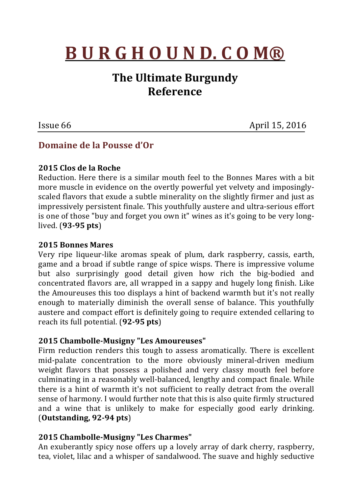# **B U R G H O U N D. C O M®**

# **The Ultimate Burgundy Reference**

**Issue 66** April 15, 2016

# **Domaine de la Pousse d'Or**

# **2015 Clos de la Roche**

Reduction. Here there is a similar mouth feel to the Bonnes Mares with a bit more muscle in evidence on the overtly powerful yet velvety and imposinglyscaled flavors that exude a subtle minerality on the slightly firmer and just as impressively persistent finale. This youthfully austere and ultra-serious effort is one of those "buy and forget you own it" wines as it's going to be very longlived. (**93-95 pts**)

## **2015 Bonnes Mares**

Very ripe liqueur-like aromas speak of plum, dark raspberry, cassis, earth, game and a broad if subtle range of spice wisps. There is impressive volume but also surprisingly good detail given how rich the big-bodied and concentrated flavors are, all wrapped in a sappy and hugely long finish. Like the Amoureuses this too displays a hint of backend warmth but it's not really enough to materially diminish the overall sense of balance. This youthfully austere and compact effort is definitely going to require extended cellaring to reach its full potential. (**92-95 pts**)

# **2015 Chambolle-Musigny "Les Amoureuses"**

Firm reduction renders this tough to assess aromatically. There is excellent mid-palate concentration to the more obviously mineral-driven medium weight flavors that possess a polished and very classy mouth feel before culminating in a reasonably well-balanced, lengthy and compact finale. While there is a hint of warmth it's not sufficient to really detract from the overall sense of harmony. I would further note that this is also quite firmly structured and a wine that is unlikely to make for especially good early drinking. (**Outstanding, 92-94 pts**)

#### **2015 Chambolle-Musigny "Les Charmes"**

An exuberantly spicy nose offers up a lovely array of dark cherry, raspberry, tea, violet, lilac and a whisper of sandalwood. The suave and highly seductive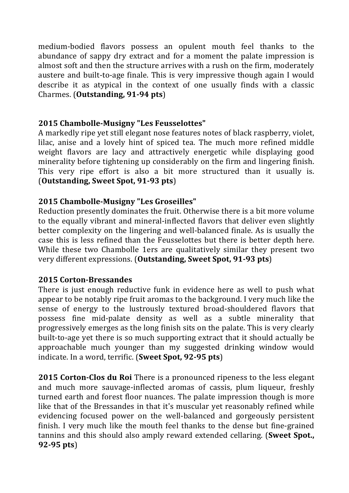medium-bodied flavors possess an opulent mouth feel thanks to the abundance of sappy dry extract and for a moment the palate impression is almost soft and then the structure arrives with a rush on the firm, moderately austere and built-to-age finale. This is very impressive though again I would describe it as atypical in the context of one usually finds with a classic Charmes. (**Outstanding, 91-94 pts**)

## **2015 Chambolle-Musigny "Les Feusselottes"**

A markedly ripe yet still elegant nose features notes of black raspberry, violet, lilac, anise and a lovely hint of spiced tea. The much more refined middle weight flavors are lacy and attractively energetic while displaying good minerality before tightening up considerably on the firm and lingering finish. This very ripe effort is also a bit more structured than it usually is. (**Outstanding, Sweet Spot, 91-93 pts**)

# **2015 Chambolle-Musigny "Les Groseilles"**

Reduction presently dominates the fruit. Otherwise there is a bit more volume to the equally vibrant and mineral-inflected flavors that deliver even slightly better complexity on the lingering and well-balanced finale. As is usually the case this is less refined than the Feusselottes but there is better depth here. While these two Chambolle 1ers are qualitatively similar they present two very different expressions. (**Outstanding, Sweet Spot, 91-93 pts**)

# **2015 Corton-Bressandes**

There is just enough reductive funk in evidence here as well to push what appear to be notably ripe fruit aromas to the background. I very much like the sense of energy to the lustrously textured broad-shouldered flavors that possess fine mid-palate density as well as a subtle minerality that progressively emerges as the long finish sits on the palate. This is very clearly built-to-age vet there is so much supporting extract that it should actually be approachable much younger than my suggested drinking window would indicate. In a word, terrific. (Sweet Spot, 92-95 pts)

**2015 Corton-Clos du Roi** There is a pronounced ripeness to the less elegant and much more sauvage-inflected aromas of cassis, plum liqueur, freshly turned earth and forest floor nuances. The palate impression though is more like that of the Bressandes in that it's muscular yet reasonably refined while evidencing focused power on the well-balanced and gorgeously persistent finish. I very much like the mouth feel thanks to the dense but fine-grained tannins and this should also amply reward extended cellaring. (**Sweet Spot.**, **92-95 pts**)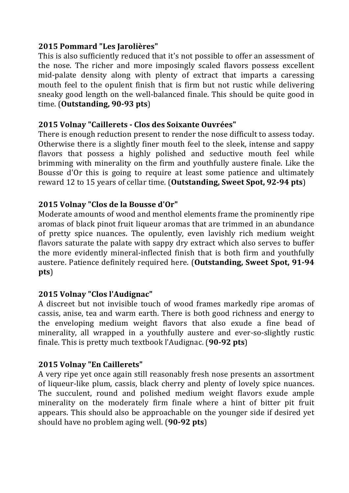## **2015 Pommard "Les Jarolières"**

This is also sufficiently reduced that it's not possible to offer an assessment of the nose. The richer and more imposingly scaled flavors possess excellent mid-palate density along with plenty of extract that imparts a caressing mouth feel to the opulent finish that is firm but not rustic while delivering sneaky good length on the well-balanced finale. This should be quite good in time. (**Outstanding, 90-93 pts**)

#### **2015 Volnay "Caillerets - Clos des Soixante Ouvrées"**

There is enough reduction present to render the nose difficult to assess today. Otherwise there is a slightly finer mouth feel to the sleek, intense and sappy flavors that possess a highly polished and seductive mouth feel while brimming with minerality on the firm and youthfully austere finale. Like the Bousse d'Or this is going to require at least some patience and ultimately reward 12 to 15 years of cellar time. (**Outstanding, Sweet Spot, 92-94 pts**)

# **2015 Volnay "Clos de la Bousse d'Or"**

Moderate amounts of wood and menthol elements frame the prominently ripe aromas of black pinot fruit liqueur aromas that are trimmed in an abundance of pretty spice nuances. The opulently, even lavishly rich medium weight flavors saturate the palate with sappy dry extract which also serves to buffer the more evidently mineral-inflected finish that is both firm and youthfully austere. Patience definitely required here. (Outstanding, Sweet Spot, 91-94 **pts**)

#### **2015 Volnay "Clos l'Audignac"**

A discreet but not invisible touch of wood frames markedly ripe aromas of cassis, anise, tea and warm earth. There is both good richness and energy to the enveloping medium weight flavors that also exude a fine bead of minerality, all wrapped in a youthfully austere and ever-so-slightly rustic finale. This is pretty much textbook l'Audignac. (**90-92 pts**)

# **2015 Volnay "En Caillerets"**

A very ripe yet once again still reasonably fresh nose presents an assortment of liqueur-like plum, cassis, black cherry and plenty of lovely spice nuances. The succulent, round and polished medium weight flavors exude ample minerality on the moderately firm finale where a hint of bitter pit fruit appears. This should also be approachable on the younger side if desired yet should have no problem aging well. (90-92 pts)